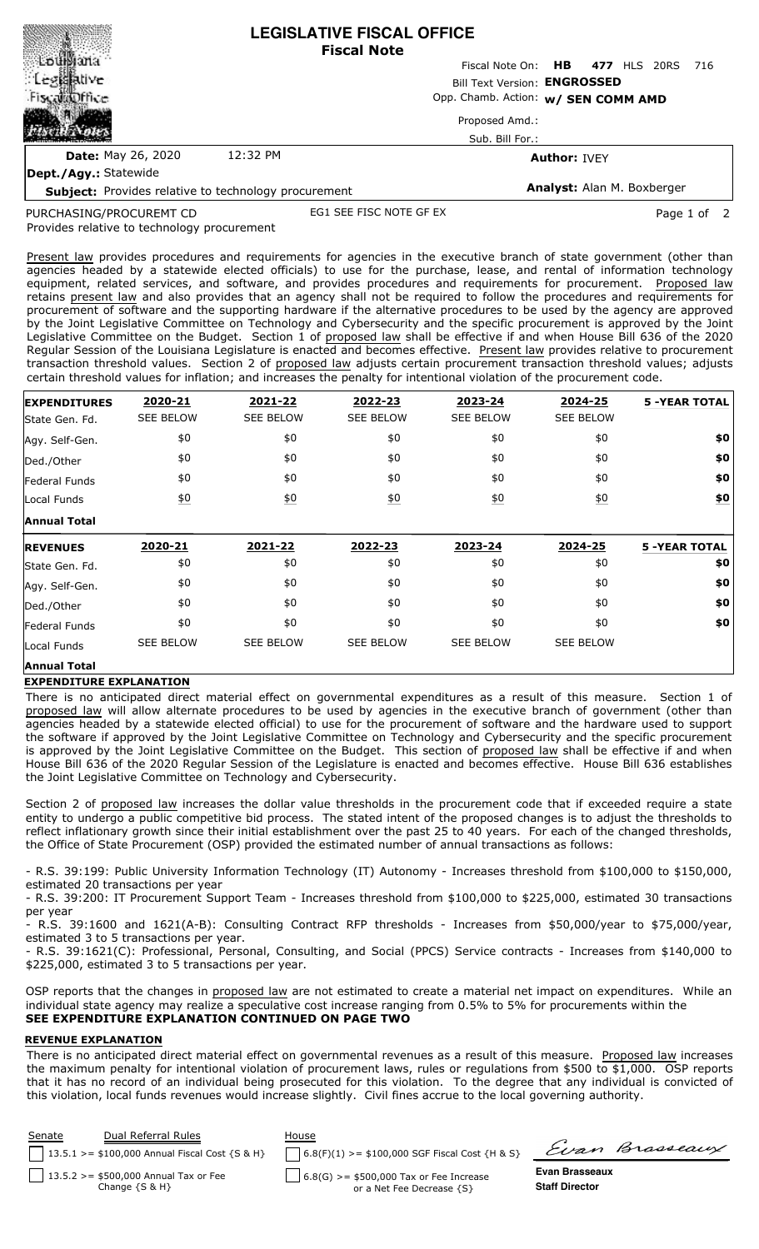|                                                             | <b>LEGISLATIVE FISCAL OFFICE</b><br><b>Fiscal Note</b> |                                                                     |  |  |  |  |  |  |
|-------------------------------------------------------------|--------------------------------------------------------|---------------------------------------------------------------------|--|--|--|--|--|--|
|                                                             |                                                        | Fiscal Note On: HB 477 HLS 20RS 716                                 |  |  |  |  |  |  |
| : Legislative                                               |                                                        | Bill Text Version: ENGROSSED<br>Opp. Chamb. Action: w/ SEN COMM AMD |  |  |  |  |  |  |
| FiscalaDffice                                               |                                                        |                                                                     |  |  |  |  |  |  |
|                                                             |                                                        | Proposed Amd.:                                                      |  |  |  |  |  |  |
|                                                             |                                                        | Sub. Bill For.:                                                     |  |  |  |  |  |  |
| <b>Date: May 26, 2020</b>                                   | 12:32 PM                                               | <b>Author: IVEY</b>                                                 |  |  |  |  |  |  |
| Dept./Agy.: Statewide                                       |                                                        |                                                                     |  |  |  |  |  |  |
| <b>Subject:</b> Provides relative to technology procurement |                                                        | Analyst: Alan M. Boxberger                                          |  |  |  |  |  |  |

PURCHASING/PROCUREMT CD

EG1 SEE FISC NOTE GF EX Page 1 of 2

Provides relative to technology procurement

Present law provides procedures and requirements for agencies in the executive branch of state government (other than agencies headed by a statewide elected officials) to use for the purchase, lease, and rental of information technology equipment, related services, and software, and provides procedures and requirements for procurement. Proposed law retains present law and also provides that an agency shall not be required to follow the procedures and requirements for procurement of software and the supporting hardware if the alternative procedures to be used by the agency are approved by the Joint Legislative Committee on Technology and Cybersecurity and the specific procurement is approved by the Joint Legislative Committee on the Budget. Section 1 of proposed law shall be effective if and when House Bill 636 of the 2020 Regular Session of the Louisiana Legislature is enacted and becomes effective. Present law provides relative to procurement transaction threshold values. Section 2 of proposed law adjusts certain procurement transaction threshold values; adjusts certain threshold values for inflation; and increases the penalty for intentional violation of the procurement code.

| <b>EXPENDITURES</b> | 2020-21          | 2021-22           | 2022-23          | 2023-24          | 2024-25          | <b>5 -YEAR TOTAL</b> |
|---------------------|------------------|-------------------|------------------|------------------|------------------|----------------------|
| State Gen. Fd.      | <b>SEE BELOW</b> | <b>SEE BELOW</b>  | <b>SEE BELOW</b> | <b>SEE BELOW</b> | <b>SEE BELOW</b> |                      |
| Agy. Self-Gen.      | \$0              | \$0               | \$0              | \$0              | \$0              | \$0                  |
| Ded./Other          | \$0              | \$0               | \$0              | \$0              | \$0              | \$0                  |
| Federal Funds       | \$0              | \$0               | \$0              | \$0              | \$0              | \$0                  |
| Local Funds         | $\underline{50}$ | $\underline{\$0}$ | $\underline{50}$ | 60               | $\underline{50}$ | \$0                  |
| <b>Annual Total</b> |                  |                   |                  |                  |                  |                      |
|                     |                  |                   |                  |                  |                  |                      |
| <b>REVENUES</b>     | 2020-21          | 2021-22           | 2022-23          | 2023-24          | 2024-25          | <b>5 -YEAR TOTAL</b> |
| State Gen. Fd.      | \$0              | \$0               | \$0              | \$0              | \$0              | \$0                  |
| Agy. Self-Gen.      | \$0              | \$0               | \$0              | \$0              | \$0              | \$0                  |
| Ded./Other          | \$0              | \$0               | \$0              | \$0              | \$0              | \$0                  |
| Federal Funds       | \$0              | \$0               | \$0              | \$0              | \$0              | \$0                  |
| Local Funds         | <b>SEE BELOW</b> | <b>SEE BELOW</b>  | <b>SEE BELOW</b> | <b>SEE BELOW</b> | <b>SEE BELOW</b> |                      |

## **EXPENDITURE EXPLANATION**

There is no anticipated direct material effect on governmental expenditures as a result of this measure. Section 1 of proposed law will allow alternate procedures to be used by agencies in the executive branch of government (other than agencies headed by a statewide elected official) to use for the procurement of software and the hardware used to support the software if approved by the Joint Legislative Committee on Technology and Cybersecurity and the specific procurement is approved by the Joint Legislative Committee on the Budget. This section of proposed law shall be effective if and when House Bill 636 of the 2020 Regular Session of the Legislature is enacted and becomes effective. House Bill 636 establishes the Joint Legislative Committee on Technology and Cybersecurity.

Section 2 of proposed law increases the dollar value thresholds in the procurement code that if exceeded require a state entity to undergo a public competitive bid process. The stated intent of the proposed changes is to adjust the thresholds to reflect inflationary growth since their initial establishment over the past 25 to 40 years. For each of the changed thresholds, the Office of State Procurement (OSP) provided the estimated number of annual transactions as follows:

- R.S. 39:199: Public University Information Technology (IT) Autonomy - Increases threshold from \$100,000 to \$150,000, estimated 20 transactions per year

- R.S. 39:200: IT Procurement Support Team - Increases threshold from \$100,000 to \$225,000, estimated 30 transactions per year

- R.S. 39:1600 and 1621(A-B): Consulting Contract RFP thresholds - Increases from \$50,000/year to \$75,000/year, estimated 3 to 5 transactions per year.

- R.S. 39:1621(C): Professional, Personal, Consulting, and Social (PPCS) Service contracts - Increases from \$140,000 to \$225,000, estimated 3 to 5 transactions per year.

OSP reports that the changes in proposed law are not estimated to create a material net impact on expenditures. While an individual state agency may realize a speculative cost increase ranging from 0.5% to 5% for procurements within the **SEE EXPENDITURE EXPLANATION CONTINUED ON PAGE TWO**

## **REVENUE EXPLANATION**

There is no anticipated direct material effect on governmental revenues as a result of this measure. Proposed law increases the maximum penalty for intentional violation of procurement laws, rules or regulations from \$500 to \$1,000. OSP reports that it has no record of an individual being prosecuted for this violation. To the degree that any individual is convicted of this violation, local funds revenues would increase slightly. Civil fines accrue to the local governing authority.

| Senate | Dual Referral Rules<br>$13.5.1$ >= \$100,000 Annual Fiscal Cost {S & H} | House<br>$6.8(F)(1)$ >= \$100,000 SGF Fiscal Cost {H & S}              |                                         | Evan Brasseaux |
|--------|-------------------------------------------------------------------------|------------------------------------------------------------------------|-----------------------------------------|----------------|
|        | $13.5.2 > = $500,000$ Annual Tax or Fee<br>Change $\{S \& H\}$          | $6.8(G) > = $500,000$ Tax or Fee Increase<br>or a Net Fee Decrease {S} | Evan Brasseaux<br><b>Staff Director</b> |                |